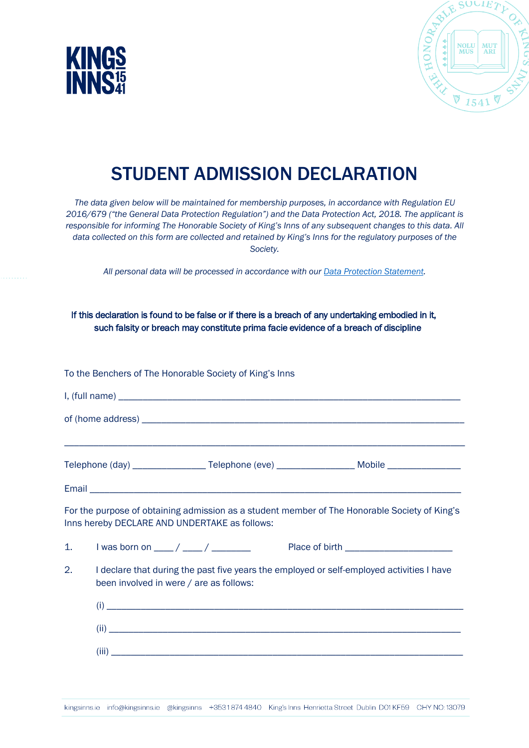



## STUDENT ADMISSION DECLARATION

*The data given below will be maintained for membership purposes, in accordance with Regulation EU 2016/679 ("the General Data Protection Regulation") and the Data Protection Act, 2018. The applicant is responsible for informing The Honorable Society of King's Inns of any subsequent changes to this data. All data collected on this form are collected and retained by King's Inns for the regulatory purposes of the Society.* 

*All personal data will be processed in accordance with our Data [Protection Statement.](https://www.kingsinns.ie/dataprotection)* 

If this declaration is found to be false or if there is a breach of any undertaking embodied in it, such falsity or breach may constitute prima facie evidence of a breach of discipline

To the Benchers of The Honorable Society of King's Inns I, (full name) \_\_\_\_\_\_\_\_\_\_\_\_\_\_\_\_\_\_\_\_\_\_\_\_\_\_\_\_\_\_\_\_\_\_\_\_\_\_\_\_\_\_\_\_\_\_\_\_\_\_\_\_\_\_\_\_\_\_\_\_\_\_\_\_\_\_\_\_\_\_ of (home address)  $\overline{\phantom{a}}$ \_\_\_\_\_\_\_\_\_\_\_\_\_\_\_\_\_\_\_\_\_\_\_\_\_\_\_\_\_\_\_\_\_\_\_\_\_\_\_\_\_\_\_\_\_\_\_\_\_\_\_\_\_\_\_\_\_\_\_\_\_\_\_\_\_\_\_\_\_\_\_\_\_\_\_\_\_\_\_\_\_\_ Telephone (day) \_\_\_\_\_\_\_\_\_\_\_\_\_\_\_\_\_\_\_Telephone (eve) \_\_\_\_\_\_\_\_\_\_\_\_\_\_\_\_\_\_\_\_\_\_\_\_\_\_\_\_\_ Mobile \_\_\_\_\_\_\_\_\_\_\_\_\_\_\_\_\_\_\_\_\_\_ Email For the purpose of obtaining admission as a student member of The Honorable Society of King's Inns hereby DECLARE AND UNDERTAKE as follows: 1. I was born on  $\underline{\hspace{1cm}}$  /  $\underline{\hspace{1cm}}$  /  $\underline{\hspace{1cm}}$  Place of birth 2. I declare that during the past five years the employed or self-employed activities I have been involved in were / are as follows:  $(i)$  $(iii)$  $(iii)$ 

kingsinns.ie info@kingsinns.ie @kingsinns +3531874 4840 King's Inns Henrietta Street Dublin D01 KF59 CHY NO:13079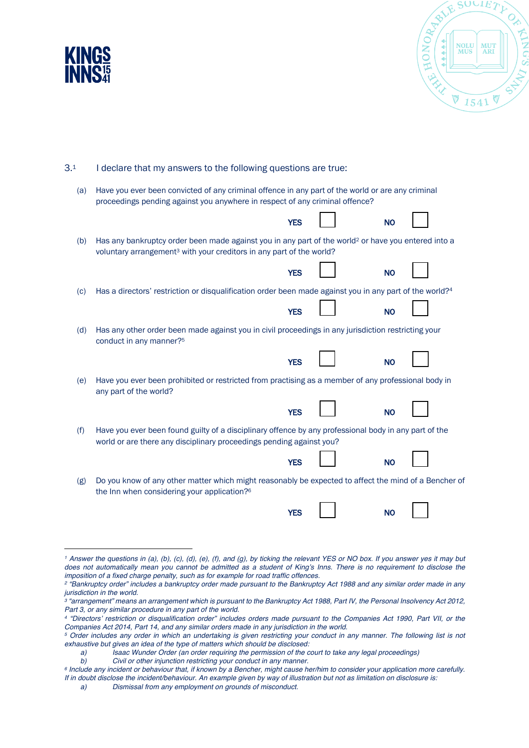



| 3.1 |  | I declare that my answers to the following questions are true: |
|-----|--|----------------------------------------------------------------|
|-----|--|----------------------------------------------------------------|

| (a) Have you ever been convicted of any criminal offence in any part of the world or are any criminal |
|-------------------------------------------------------------------------------------------------------|
| proceedings pending against you anywhere in respect of any criminal offence?                          |

|     |                                                                                                                                                                                                     | <b>YES</b> | <b>NO</b> |  |
|-----|-----------------------------------------------------------------------------------------------------------------------------------------------------------------------------------------------------|------------|-----------|--|
| (b) | Has any bankruptcy order been made against you in any part of the world <sup>2</sup> or have you entered into a<br>voluntary arrangement <sup>3</sup> with your creditors in any part of the world? |            |           |  |
|     |                                                                                                                                                                                                     | <b>YES</b> | <b>NO</b> |  |
| (c) | Has a directors' restriction or disqualification order been made against you in any part of the world?4                                                                                             |            |           |  |
|     |                                                                                                                                                                                                     | <b>YES</b> | <b>NO</b> |  |
| (d) | Has any other order been made against you in civil proceedings in any jurisdiction restricting your<br>conduct in any manner? <sup>5</sup>                                                          |            |           |  |
|     |                                                                                                                                                                                                     | <b>YES</b> | <b>NO</b> |  |
| (e) | Have you ever been prohibited or restricted from practising as a member of any professional body in<br>any part of the world?                                                                       |            |           |  |
|     |                                                                                                                                                                                                     | <b>YES</b> | <b>NO</b> |  |
| (f) | Have you ever been found guilty of a disciplinary offence by any professional body in any part of the<br>world or are there any disciplinary proceedings pending against you?                       |            |           |  |
|     |                                                                                                                                                                                                     | <b>YES</b> | <b>NO</b> |  |
| (g) | Do you know of any other matter which might reasonably be expected to affect the mind of a Bencher of<br>the Inn when considering your application? <sup>6</sup>                                    |            |           |  |
|     |                                                                                                                                                                                                     | <b>YES</b> | <b>NO</b> |  |

*<sup>1</sup> Answer the questions in (a), (b), (c), (d), (e), (f), and (g), by ticking the relevant YES or NO box. If you answer yes it may but*  does not automatically mean you cannot be admitted as a student of King's Inns. There is no requirement to disclose the *imposition of a fixed charge penalty, such as for example for road traffic offences.*

*<sup>2</sup> "Bankruptcy order" includes a bankruptcy order made pursuant to the Bankruptcy Act 1988 and any similar order made in any jurisdiction in the world.*

*<sup>3</sup> "arrangement" means an arrangement which is pursuant to the Bankruptcy Act 1988, Part IV, the Personal Insolvency Act 2012, Part 3, or any similar procedure in any part of the world.*

*<sup>4</sup> "Directors' restriction or disqualification order" includes orders made pursuant to the Companies Act 1990, Part VII, or the* 

<sup>&</sup>lt;sup>5</sup> Order includes any order in which an undertaking is given restricting your conduct in any manner. The following list is not *exhaustive but gives an idea of the type of matters which should be disclosed:*

*a) Isaac Wunder Order (an order requiring the permission of the court to take any legal proceedings)*

*b) Civil or other injunction restricting your conduct in any manner.*

*<sup>6</sup> Include any incident or behaviour that, if known by a Bencher, might cause her/him to consider your application more carefully. If in doubt disclose the incident/behaviour. An example given by way of illustration but not as limitation on disclosure is:*

*a) Dismissal from any employment on grounds of misconduct.*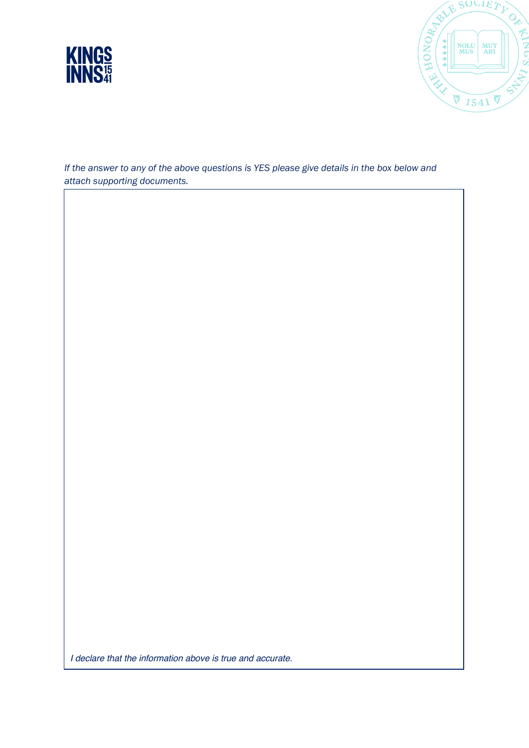



*If the answer to any of the above questions is YES please give details in the box below and attach supporting documents.* 

*I declare that the information above is true and accurate.*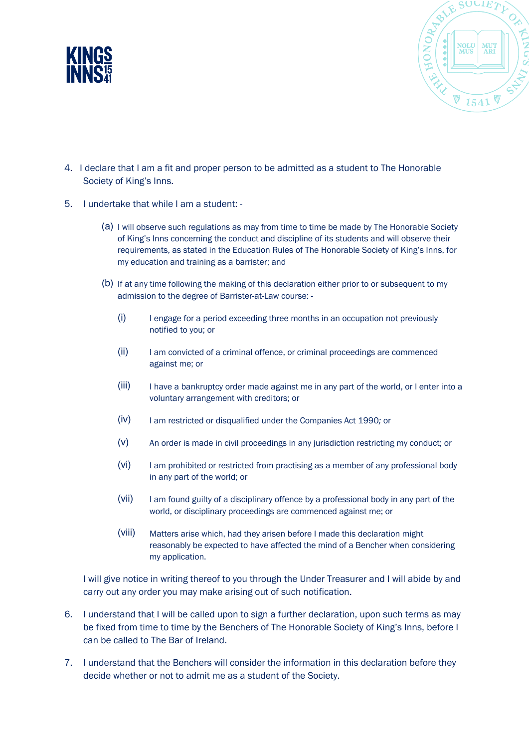



- 4. I declare that I am a fit and proper person to be admitted as a student to The Honorable Society of King's Inns.
- 5. I undertake that while I am a student:
	- (a) I will observe such regulations as may from time to time be made by The Honorable Society of King's Inns concerning the conduct and discipline of its students and will observe their requirements, as stated in the Education Rules of The Honorable Society of King's Inns, for my education and training as a barrister; and
	- (b) If at any time following the making of this declaration either prior to or subsequent to my admission to the degree of Barrister-at-Law course: -
		- (i) I engage for a period exceeding three months in an occupation not previously notified to you; or
		- (ii) I am convicted of a criminal offence, or criminal proceedings are commenced against me; or
		- (iii) I have a bankruptcy order made against me in any part of the world, or I enter into a voluntary arrangement with creditors; or
		- (iv) I am restricted or disqualified under the Companies Act 1990*;* or
		- (v) An order is made in civil proceedings in any jurisdiction restricting my conduct; or
		- (vi) I am prohibited or restricted from practising as a member of any professional body in any part of the world; or
		- (vii) I am found guilty of a disciplinary offence by a professional body in any part of the world, or disciplinary proceedings are commenced against me; or
		- (viii) Matters arise which, had they arisen before I made this declaration might reasonably be expected to have affected the mind of a Bencher when considering my application.

I will give notice in writing thereof to you through the Under Treasurer and I will abide by and carry out any order you may make arising out of such notification.

- 6. I understand that I will be called upon to sign a further declaration, upon such terms as may be fixed from time to time by the Benchers of The Honorable Society of King's Inns, before I can be called to The Bar of Ireland.
- 7. I understand that the Benchers will consider the information in this declaration before they decide whether or not to admit me as a student of the Society.